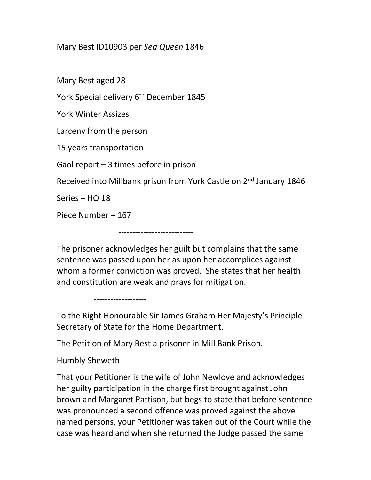## Mary Best ID10903 per Sea Queen 1846

Mary Best aged 28 York Special delivery 6<sup>th</sup> December 1845 York Winter Assizes Larceny from the person 15 years transportation Gaol report – 3 times before in prison Received into Millbank prison from York Castle on 2<sup>nd</sup> January 1846 Series – HO 18 Piece Number – 167

---------------------------

The prisoner acknowledges her guilt but complains that the same sentence was passed upon her as upon her accomplices against whom a former conviction was proved. She states that her health and constitution are weak and prays for mitigation.

To the Right Honourable Sir James Graham Her Majesty's Principle Secretary of State for the Home Department.

The Petition of Mary Best a prisoner in Mill Bank Prison.

Humbly Sheweth

-------------------

That your Petitioner is the wife of John Newlove and acknowledges her guilty participation in the charge first brought against John brown and Margaret Pattison, but begs to state that before sentence was pronounced a second offence was proved against the above named persons, your Petitioner was taken out of the Court while the case was heard and when she returned the Judge passed the same